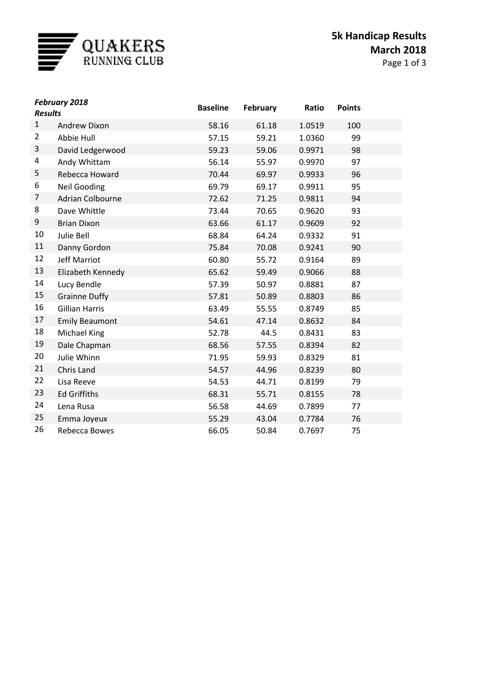

| <b>February 2018</b><br><b>Results</b> |                         | <b>Baseline</b> | February | Ratio  | <b>Points</b> |  |
|----------------------------------------|-------------------------|-----------------|----------|--------|---------------|--|
| $\mathbf{1}$                           | <b>Andrew Dixon</b>     | 58.16           | 61.18    | 1.0519 | 100           |  |
| $\overline{2}$                         | Abbie Hull              | 57.15           | 59.21    | 1.0360 | 99            |  |
| 3                                      | David Ledgerwood        | 59.23           | 59.06    | 0.9971 | 98            |  |
| 4                                      | Andy Whittam            | 56.14           | 55.97    | 0.9970 | 97            |  |
| 5                                      | Rebecca Howard          | 70.44           | 69.97    | 0.9933 | 96            |  |
| 6                                      | <b>Neil Gooding</b>     | 69.79           | 69.17    | 0.9911 | 95            |  |
| 7                                      | <b>Adrian Colbourne</b> | 72.62           | 71.25    | 0.9811 | 94            |  |
| 8                                      | Dave Whittle            | 73.44           | 70.65    | 0.9620 | 93            |  |
| 9                                      | <b>Brian Dixon</b>      | 63.66           | 61.17    | 0.9609 | 92            |  |
| 10                                     | Julie Bell              | 68.84           | 64.24    | 0.9332 | 91            |  |
| 11                                     | Danny Gordon            | 75.84           | 70.08    | 0.9241 | 90            |  |
| 12                                     | <b>Jeff Marriot</b>     | 60.80           | 55.72    | 0.9164 | 89            |  |
| 13                                     | Elizabeth Kennedy       | 65.62           | 59.49    | 0.9066 | 88            |  |
| 14                                     | Lucy Bendle             | 57.39           | 50.97    | 0.8881 | 87            |  |
| 15                                     | <b>Grainne Duffy</b>    | 57.81           | 50.89    | 0.8803 | 86            |  |
| 16                                     | <b>Gillian Harris</b>   | 63.49           | 55.55    | 0.8749 | 85            |  |
| 17                                     | <b>Emily Beaumont</b>   | 54.61           | 47.14    | 0.8632 | 84            |  |
| 18                                     | Michael King            | 52.78           | 44.5     | 0.8431 | 83            |  |
| 19                                     | Dale Chapman            | 68.56           | 57.55    | 0.8394 | 82            |  |
| 20                                     | Julie Whinn             | 71.95           | 59.93    | 0.8329 | 81            |  |
| 21                                     | Chris Land              | 54.57           | 44.96    | 0.8239 | 80            |  |
| 22                                     | Lisa Reeve              | 54.53           | 44.71    | 0.8199 | 79            |  |
| 23                                     | <b>Ed Griffiths</b>     | 68.31           | 55.71    | 0.8155 | 78            |  |
| 24                                     | Lena Rusa               | 56.58           | 44.69    | 0.7899 | 77            |  |
| 25                                     | Emma Joyeux             | 55.29           | 43.04    | 0.7784 | 76            |  |
| 26                                     | Rebecca Bowes           | 66.05           | 50.84    | 0.7697 | 75            |  |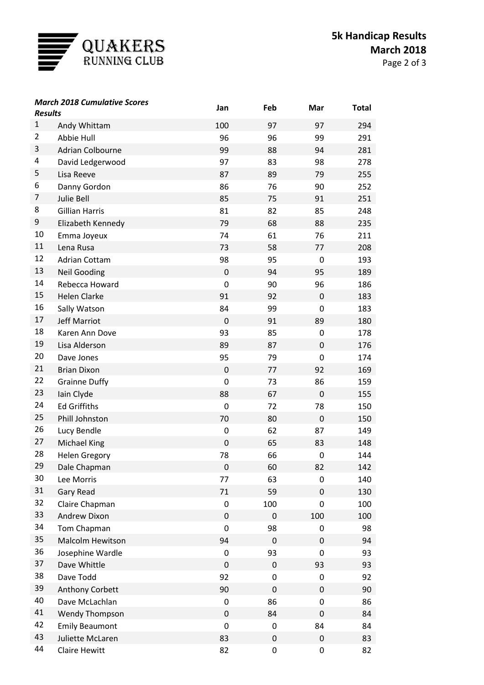

| <b>March 2018 Cumulative Scores</b><br><b>Results</b> |                                   | Jan         | Feb       | Mar         | <b>Total</b> |
|-------------------------------------------------------|-----------------------------------|-------------|-----------|-------------|--------------|
| $\mathbf{1}$                                          |                                   | 100         | 97        | 97          | 294          |
| $\overline{2}$                                        | Andy Whittam<br>Abbie Hull        | 96          | 96        | 99          | 291          |
| 3                                                     | <b>Adrian Colbourne</b>           | 99          | 88        | 94          | 281          |
| 4                                                     | David Ledgerwood                  | 97          | 83        | 98          | 278          |
| 5                                                     | Lisa Reeve                        | 87          | 89        | 79          | 255          |
| 6                                                     |                                   | 86          | 76        | 90          | 252          |
| 7                                                     | Danny Gordon<br><b>Julie Bell</b> | 85          | 75        | 91          | 251          |
| 8                                                     | <b>Gillian Harris</b>             | 81          | 82        | 85          | 248          |
| 9                                                     | Elizabeth Kennedy                 | 79          | 68        | 88          | 235          |
| 10                                                    | Emma Joyeux                       | 74          | 61        | 76          | 211          |
| 11                                                    | Lena Rusa                         | 73          | 58        | 77          | 208          |
| 12                                                    | <b>Adrian Cottam</b>              | 98          | 95        | $\mathbf 0$ | 193          |
| 13                                                    | <b>Neil Gooding</b>               | $\mathbf 0$ | 94        | 95          | 189          |
| 14                                                    | Rebecca Howard                    | 0           | 90        | 96          | 186          |
| 15                                                    | <b>Helen Clarke</b>               | 91          | 92        | $\mathbf 0$ | 183          |
| 16                                                    | Sally Watson                      | 84          | 99        | 0           | 183          |
| 17                                                    | <b>Jeff Marriot</b>               | $\mathbf 0$ | 91        | 89          | 180          |
| 18                                                    | Karen Ann Dove                    | 93          | 85        | 0           | 178          |
| 19                                                    | Lisa Alderson                     | 89          | 87        | $\mathbf 0$ | 176          |
| 20                                                    | Dave Jones                        | 95          | 79        | 0           | 174          |
| 21                                                    | <b>Brian Dixon</b>                | $\mathbf 0$ | 77        | 92          | 169          |
| 22                                                    | <b>Grainne Duffy</b>              | 0           | 73        | 86          | 159          |
| 23                                                    | lain Clyde                        | 88          | 67        | $\mathbf 0$ | 155          |
| 24                                                    | <b>Ed Griffiths</b>               | $\mathbf 0$ | 72        | 78          | 150          |
| 25                                                    | Phill Johnston                    | 70          | 80        | $\mathbf 0$ | 150          |
| 26                                                    | Lucy Bendle                       | 0           | 62        | 87          | 149          |
| 27                                                    | <b>Michael King</b>               | $\mathbf 0$ | 65        | 83          | 148          |
| 28                                                    | <b>Helen Gregory</b>              | 78          | 66        | 0           | 144          |
| 29                                                    | Dale Chapman                      | $\pmb{0}$   | 60        | 82          | 142          |
| 30                                                    | Lee Morris                        | 77          | 63        | 0           | 140          |
| 31                                                    | Gary Read                         | 71          | 59        | $\mathsf 0$ | 130          |
| 32                                                    | Claire Chapman                    | 0           | 100       | 0           | 100          |
| 33                                                    | Andrew Dixon                      | $\pmb{0}$   | 0         | 100         | 100          |
| 34                                                    | Tom Chapman                       | 0           | 98        | 0           | 98           |
| 35                                                    | Malcolm Hewitson                  | 94          | $\pmb{0}$ | 0           | 94           |
| 36                                                    | Josephine Wardle                  | 0           | 93        | 0           | 93           |
| 37                                                    | Dave Whittle                      | $\mathbf 0$ | $\pmb{0}$ | 93          | 93           |
| 38                                                    | Dave Todd                         | 92          | 0         | 0           | 92           |
| 39                                                    | Anthony Corbett                   | 90          | $\pmb{0}$ | 0           | 90           |
| 40                                                    | Dave McLachlan                    | 0           | 86        | 0           | 86           |
| 41                                                    | Wendy Thompson                    | $\pmb{0}$   | 84        | 0           | 84           |
| 42                                                    | <b>Emily Beaumont</b>             | 0           | 0         | 84          | 84           |
| 43                                                    | Juliette McLaren                  | 83          | $\pmb{0}$ | 0           | 83           |
| 44                                                    | Claire Hewitt                     | 82          | 0         | 0           | 82           |